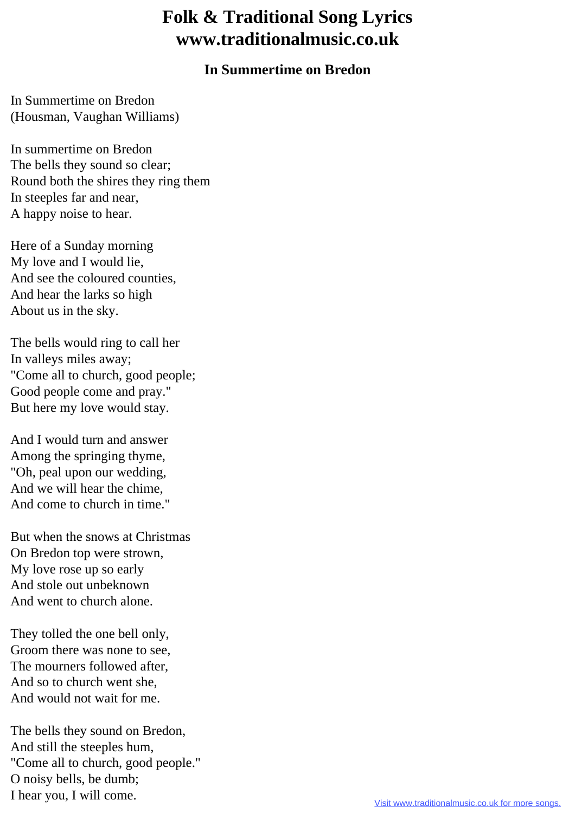## **Folk & Traditional Song Lyrics www.traditionalmusic.co.uk**

## **In Summertime on Bredon**

In Summertime on Bredon (Housman, Vaughan Williams)

In summertime on Bredon The bells they sound so clear; Round both the shires they ring them In steeples far and near, A happy noise to hear.

Here of a Sunday morning My love and I would lie, And see the coloured counties, And hear the larks so high About us in the sky.

The bells would ring to call her In valleys miles away; "Come all to church, good people; Good people come and pray." But here my love would stay.

And I would turn and answer Among the springing thyme, "Oh, peal upon our wedding, And we will hear the chime, And come to church in time."

But when the snows at Christmas On Bredon top were strown, My love rose up so early And stole out unbeknown And went to church alone.

They tolled the one bell only, Groom there was none to see, The mourners followed after, And so to church went she, And would not wait for me.

The bells they sound on Bredon, And still the steeples hum, "Come all to church, good people." O noisy bells, be dumb; I hear you, I will come.